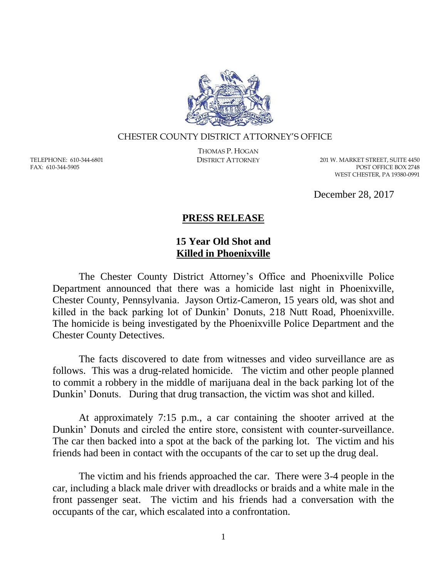

## CHESTER COUNTY DISTRICT ATTORNEY'S OFFICE

TELEPHONE: 610-344-6801 FAX: 610-344-5905

THOMAS P. HOGAN

DISTRICT ATTORNEY 201 W. MARKET STREET, SUITE 4450 POST OFFICE BOX 2748 WEST CHESTER, PA 19380-0991

December 28, 2017

## **PRESS RELEASE**

## **15 Year Old Shot and Killed in Phoenixville**

The Chester County District Attorney's Office and Phoenixville Police Department announced that there was a homicide last night in Phoenixville, Chester County, Pennsylvania. Jayson Ortiz-Cameron, 15 years old, was shot and killed in the back parking lot of Dunkin' Donuts, 218 Nutt Road, Phoenixville. The homicide is being investigated by the Phoenixville Police Department and the Chester County Detectives.

The facts discovered to date from witnesses and video surveillance are as follows. This was a drug-related homicide. The victim and other people planned to commit a robbery in the middle of marijuana deal in the back parking lot of the Dunkin' Donuts. During that drug transaction, the victim was shot and killed.

At approximately 7:15 p.m., a car containing the shooter arrived at the Dunkin' Donuts and circled the entire store, consistent with counter-surveillance. The car then backed into a spot at the back of the parking lot. The victim and his friends had been in contact with the occupants of the car to set up the drug deal.

The victim and his friends approached the car. There were 3-4 people in the car, including a black male driver with dreadlocks or braids and a white male in the front passenger seat. The victim and his friends had a conversation with the occupants of the car, which escalated into a confrontation.